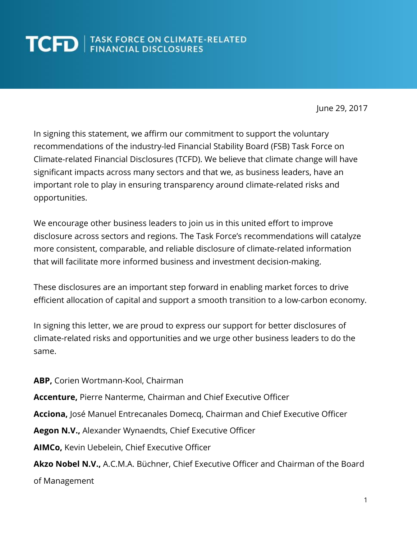June 29, 2017

In signing this statement, we affirm our commitment to support the voluntary recommendations of the industry-led Financial Stability Board (FSB) Task Force on Climate-related Financial Disclosures (TCFD). We believe that climate change will have significant impacts across many sectors and that we, as business leaders, have an important role to play in ensuring transparency around climate-related risks and opportunities.

We encourage other business leaders to join us in this united effort to improve disclosure across sectors and regions. The Task Force's recommendations will catalyze more consistent, comparable, and reliable disclosure of climate-related information that will facilitate more informed business and investment decision-making.

These disclosures are an important step forward in enabling market forces to drive efficient allocation of capital and support a smooth transition to a low-carbon economy.

In signing this letter, we are proud to express our support for better disclosures of climate-related risks and opportunities and we urge other business leaders to do the same.

**ABP,** Corien Wortmann-Kool, Chairman **Accenture,** Pierre Nanterme, Chairman and Chief Executive Officer **Acciona,** José Manuel Entrecanales Domecq, Chairman and Chief Executive Officer **Aegon N.V.,** Alexander Wynaendts, Chief Executive Officer **AIMCo,** Kevin Uebelein, Chief Executive Officer **Akzo Nobel N.V.,** A.C.M.A. Büchner, Chief Executive Officer and Chairman of the Board of Management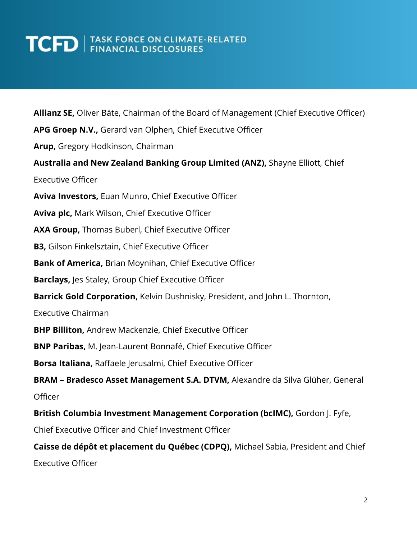**Allianz SE,** Oliver Bäte, Chairman of the Board of Management (Chief Executive Officer) **APG Groep N.V.,** Gerard van Olphen, Chief Executive Officer **Arup,** Gregory Hodkinson, Chairman **Australia and New Zealand Banking Group Limited (ANZ),** Shayne Elliott, Chief Executive Officer **Aviva Investors,** Euan Munro, Chief Executive Officer **Aviva plc,** Mark Wilson, Chief Executive Officer **AXA Group,** Thomas Buberl, Chief Executive Officer **B3,** Gilson Finkelsztain, Chief Executive Officer **Bank of America,** Brian Moynihan, Chief Executive Officer **Barclays,** Jes Staley, Group Chief Executive Officer **Barrick Gold Corporation,** Kelvin Dushnisky, President, and John L. Thornton, Executive Chairman **BHP Billiton,** Andrew Mackenzie, Chief Executive Officer **BNP Paribas,** M. Jean-Laurent Bonnafé, Chief Executive Officer **Borsa Italiana,** Raffaele Jerusalmi, Chief Executive Officer **BRAM – Bradesco Asset Management S.A. DTVM,** Alexandre da Silva Glüher, General **Officer British Columbia Investment Management Corporation (bcIMC),** Gordon J. Fyfe, Chief Executive Officer and Chief Investment Officer **Caisse de dépôt et placement du Québec (CDPQ),** Michael Sabia, President and Chief Executive Officer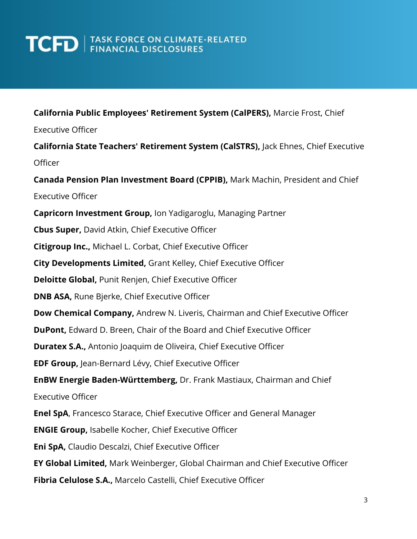#### **California Public Employees' Retirement System (CalPERS),** Marcie Frost, Chief

Executive Officer

**California State Teachers' Retirement System (CalSTRS),** Jack Ehnes, Chief Executive Officer **Canada Pension Plan Investment Board (CPPIB),** Mark Machin, President and Chief Executive Officer **Capricorn Investment Group,** Ion Yadigaroglu, Managing Partner **Cbus Super,** David Atkin, Chief Executive Officer **Citigroup Inc.,** Michael L. Corbat, Chief Executive Officer **City Developments Limited,** Grant Kelley, Chief Executive Officer **Deloitte Global,** Punit Renjen, Chief Executive Officer **DNB ASA,** Rune Bjerke, Chief Executive Officer **Dow Chemical Company,** Andrew N. Liveris, Chairman and Chief Executive Officer **DuPont,** Edward D. Breen, Chair of the Board and Chief Executive Officer **Duratex S.A.,** Antonio Joaquim de Oliveira, Chief Executive Officer **EDF Group,** Jean-Bernard Lévy, Chief Executive Officer **EnBW Energie Baden-Württemberg,** Dr. Frank Mastiaux, Chairman and Chief Executive Officer **Enel SpA**, Francesco Starace, Chief Executive Officer and General Manager **ENGIE Group,** Isabelle Kocher, Chief Executive Officer **Eni SpA,** Claudio Descalzi, Chief Executive Officer **EY Global Limited,** Mark Weinberger, Global Chairman and Chief Executive Officer **Fibria Celulose S.A.,** Marcelo Castelli, Chief Executive Officer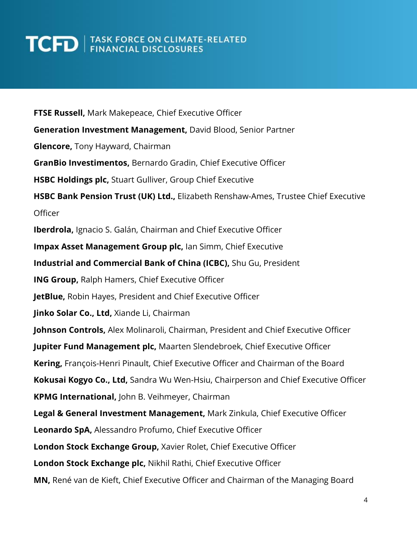**FTSE Russell,** Mark Makepeace, Chief Executive Officer **Generation Investment Management,** David Blood, Senior Partner **Glencore,** Tony Hayward, Chairman **GranBio Investimentos,** Bernardo Gradin, Chief Executive Officer **HSBC Holdings plc,** Stuart Gulliver, Group Chief Executive **HSBC Bank Pension Trust (UK) Ltd.,** Elizabeth Renshaw-Ames, Trustee Chief Executive **Officer Iberdrola,** Ignacio S. Galán, Chairman and Chief Executive Officer **Impax Asset Management Group plc,** Ian Simm, Chief Executive **Industrial and Commercial Bank of China (ICBC),** Shu Gu, President **ING Group,** Ralph Hamers, Chief Executive Officer **JetBlue,** Robin Hayes, President and Chief Executive Officer **Jinko Solar Co., Ltd,** Xiande Li, Chairman **Johnson Controls,** Alex Molinaroli, Chairman, President and Chief Executive Officer **Jupiter Fund Management plc,** Maarten Slendebroek, Chief Executive Officer **Kering,** François-Henri Pinault, Chief Executive Officer and Chairman of the Board **Kokusai Kogyo Co., Ltd,** Sandra Wu Wen-Hsiu, Chairperson and Chief Executive Officer **KPMG International,** John B. Veihmeyer, Chairman **Legal & General Investment Management,** Mark Zinkula, Chief Executive Officer **Leonardo SpA,** Alessandro Profumo, Chief Executive Officer **London Stock Exchange Group,** Xavier Rolet, Chief Executive Officer **London Stock Exchange plc,** Nikhil Rathi, Chief Executive Officer **MN,** René van de Kieft, Chief Executive Officer and Chairman of the Managing Board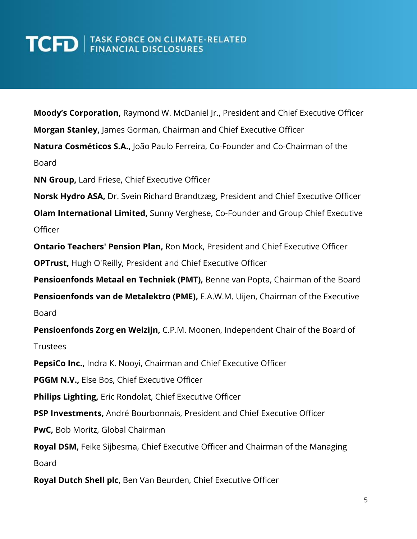**Moody's Corporation,** Raymond W. McDaniel Jr., President and Chief Executive Officer

**Morgan Stanley,** James Gorman, Chairman and Chief Executive Officer

**Natura Cosméticos S.A.,** João Paulo Ferreira, Co-Founder and Co-Chairman of the Board

**NN Group,** Lard Friese, Chief Executive Officer

**Norsk Hydro ASA,** Dr. Svein Richard Brandtzæg, President and Chief Executive Officer

**Olam International Limited,** Sunny Verghese, Co-Founder and Group Chief Executive Officer

**Ontario Teachers' Pension Plan,** Ron Mock, President and Chief Executive Officer

**OPTrust,** Hugh O'Reilly, President and Chief Executive Officer

**Pensioenfonds Metaal en Techniek (PMT),** Benne van Popta, Chairman of the Board

**Pensioenfonds van de Metalektro (PME),** E.A.W.M. Uijen, Chairman of the Executive Board

**Pensioenfonds Zorg en Welzijn,** C.P.M. Moonen, Independent Chair of the Board of Trustees

**PepsiCo Inc.,** Indra K. Nooyi, Chairman and Chief Executive Officer

**PGGM N.V.,** Else Bos, Chief Executive Officer

**Philips Lighting,** Eric Rondolat, Chief Executive Officer

**PSP Investments,** André Bourbonnais, President and Chief Executive Officer

**PwC,** Bob Moritz, Global Chairman

**Royal DSM,** Feike Sijbesma, Chief Executive Officer and Chairman of the Managing Board

**Royal Dutch Shell plc**, Ben Van Beurden, Chief Executive Officer